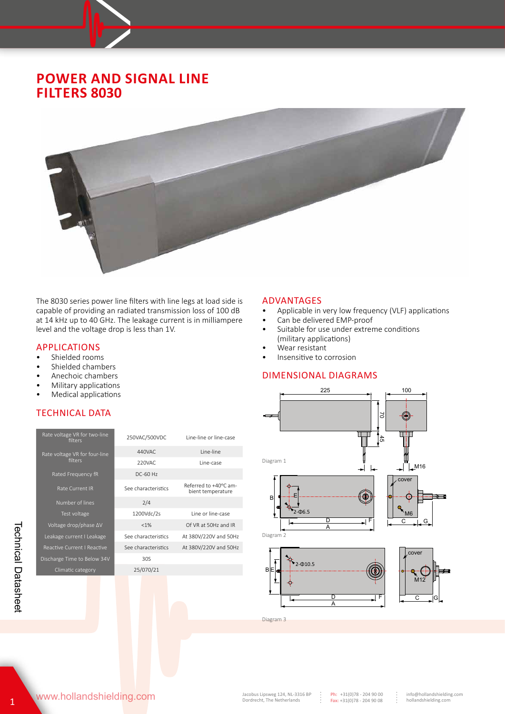## **POWER AND SIGNAL LINE FILTERS 8030**



The 8030 series power line filters with line legs at load side is capable of providing an radiated transmission loss of 100 dB at 14 kHz up to 40 GHz. The leakage current is in milliampere level and the voltage drop is less than 1V.

# **APPLICATIONS**<br> **•** Shielded room

- Shielded rooms<br>• Shielded chamb
- Shielded chambers
- Anechoic chambers
- Military applications
- Medical applications

#### TECHNICAL DATA

| Rate voltage VR for two-line<br>filters | 250VAC/500VDC       | Line-line or line-case                     |  |  |  |
|-----------------------------------------|---------------------|--------------------------------------------|--|--|--|
| Rate voltage VR for four-line           | 440VAC              | line-line                                  |  |  |  |
| filters                                 | 220VAC              | Line-case                                  |  |  |  |
| Rated Frequency fR                      | DC-60 Hz            |                                            |  |  |  |
| Rate Current IR                         | See characteristics | Referred to +40°C am-<br>bient temperature |  |  |  |
| Number of lines                         | 2/4                 |                                            |  |  |  |
| Test voltage                            | 1200Vdc/2s          | Line or line-case                          |  |  |  |
| Voltage drop/phase ΔV                   | $< 1\%$             | Of VR at 50Hz and IR                       |  |  |  |
| Leakage current I Leakage               | See characteristics | At 380V/220V and 50Hz                      |  |  |  |
| Reactive Current I Reactive             | See characteristics | At 380V/220V and 50Hz                      |  |  |  |
| Discharge Time to Below 34V             | 30S                 |                                            |  |  |  |
| Climatic category                       | 25/070/21           |                                            |  |  |  |
|                                         |                     |                                            |  |  |  |

#### ADVANTAGES

- Applicable in very low frequency (VLF) applications
- Can be delivered EMP-proof
- Suitable for use under extreme conditions (military applications)
- Wear resistant
- Insensitive to corrosion

#### DIMENSIONAL DIAGRAMS



Diagram 3

www.hollandshielding.com

Technical Datasheet

**Technical Datasheet**